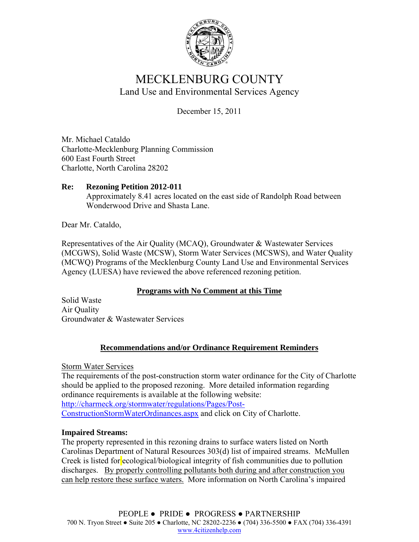

# MECKLENBURG COUNTY Land Use and Environmental Services Agency

December 15, 2011

Mr. Michael Cataldo Charlotte-Mecklenburg Planning Commission 600 East Fourth Street Charlotte, North Carolina 28202

### **Re: Rezoning Petition 2012-011**  Approximately 8.41 acres located on the east side of Randolph Road between Wonderwood Drive and Shasta Lane.

Dear Mr. Cataldo,

Representatives of the Air Quality (MCAQ), Groundwater & Wastewater Services (MCGWS), Solid Waste (MCSW), Storm Water Services (MCSWS), and Water Quality (MCWQ) Programs of the Mecklenburg County Land Use and Environmental Services Agency (LUESA) have reviewed the above referenced rezoning petition.

## **Programs with No Comment at this Time**

Solid Waste Air Quality Groundwater & Wastewater Services

## **Recommendations and/or Ordinance Requirement Reminders**

Storm Water Services

The requirements of the post-construction storm water ordinance for the City of Charlotte should be applied to the proposed rezoning. More detailed information regarding ordinance requirements is available at the following website: http://charmeck.org/stormwater/regulations/Pages/Post-ConstructionStormWaterOrdinances.aspx and click on City of Charlotte.

## **Impaired Streams:**

The property represented in this rezoning drains to surface waters listed on North Carolinas Department of Natural Resources 303(d) list of impaired streams. McMullen Creek is listed for ecological/biological integrity of fish communities due to pollution discharges. By properly controlling pollutants both during and after construction you can help restore these surface waters. More information on North Carolina's impaired